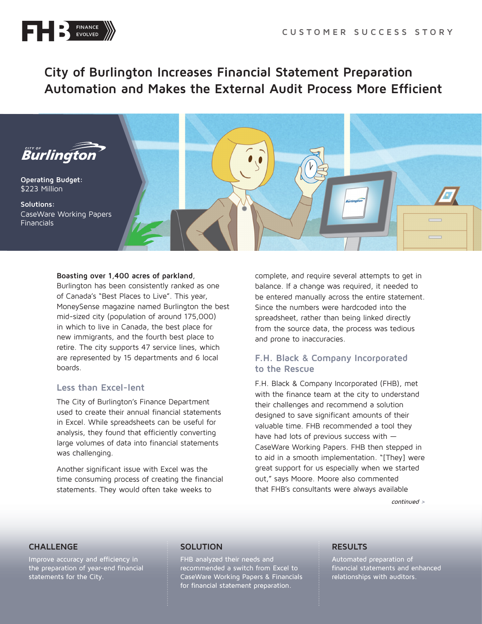

# **City of Burlington Increases Financial Statement Preparation Automation and Makes the External Audit Process More Efficient**



#### **Boasting over 1,400 acres of parkland**,

Burlington has been consistently ranked as one of Canada's "Best Places to Live". This year, MoneySense magazine named Burlington the best mid-sized city (population of around 175,000) in which to live in Canada, the best place for new immigrants, and the fourth best place to retire. The city supports 47 service lines, which are represented by 15 departments and 6 local boards.

### **Less than Excel-lent**

The City of Burlington's Finance Department used to create their annual financial statements in Excel. While spreadsheets can be useful for analysis, they found that efficiently converting large volumes of data into financial statements was challenging.

Another significant issue with Excel was the time consuming process of creating the financial statements. They would often take weeks to

complete, and require several attempts to get in balance. If a change was required, it needed to be entered manually across the entire statement. Since the numbers were hardcoded into the spreadsheet, rather than being linked directly from the source data, the process was tedious and prone to inaccuracies.

# **F.H. Black & Company Incorporated to the Rescue**

F.H. Black & Company Incorporated (FHB), met with the finance team at the city to understand their challenges and recommend a solution designed to save significant amounts of their valuable time. FHB recommended a tool they have had lots of previous success with — CaseWare Working Papers. FHB then stepped in to aid in a smooth implementation. "[They] were great support for us especially when we started out," says Moore. Moore also commented that FHB's consultants were always available

continued >

### **CHALLENGE**

Improve accuracy and efficiency in the preparation of year-end financial statements for the City.

### **SOLUTION**

FHB analyzed their needs and recommended a switch from Excel to CaseWare Working Papers & Financials for financial statement preparation.

## **RESULTS**

Automated preparation of financial statements and enhanced relationships with auditors.